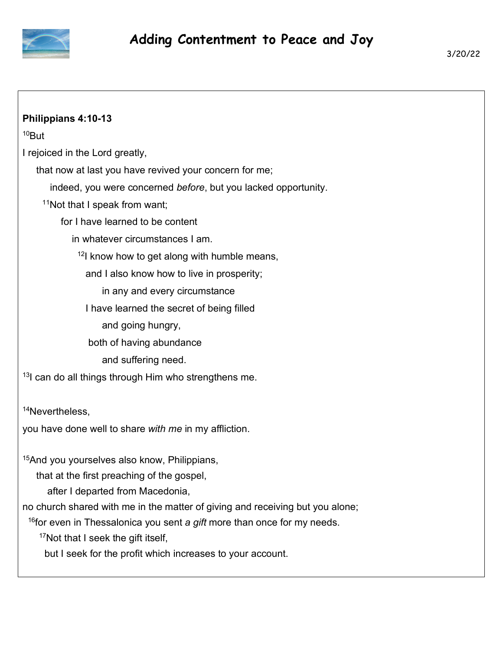

| Philippians 4:10-13                                                                 |
|-------------------------------------------------------------------------------------|
| <sup>10</sup> But                                                                   |
| I rejoiced in the Lord greatly,                                                     |
| that now at last you have revived your concern for me;                              |
| indeed, you were concerned before, but you lacked opportunity.                      |
| <sup>11</sup> Not that I speak from want;                                           |
| for I have learned to be content                                                    |
| in whatever circumstances I am.                                                     |
| $12$ know how to get along with humble means,                                       |
| and I also know how to live in prosperity;                                          |
| in any and every circumstance                                                       |
| I have learned the secret of being filled                                           |
| and going hungry,                                                                   |
| both of having abundance                                                            |
| and suffering need.                                                                 |
| <sup>13</sup> can do all things through Him who strengthens me.                     |
|                                                                                     |
| <sup>14</sup> Nevertheless,                                                         |
| you have done well to share with me in my affliction.                               |
|                                                                                     |
| <sup>15</sup> And you yourselves also know, Philippians,                            |
| that at the first preaching of the gospel,<br>after I departed from Macedonia,      |
| no church shared with me in the matter of giving and receiving but you alone;       |
| <sup>16</sup> for even in Thessalonica you sent a gift more than once for my needs. |
| <sup>17</sup> Not that I seek the gift itself,                                      |
| but I seek for the profit which increases to your account.                          |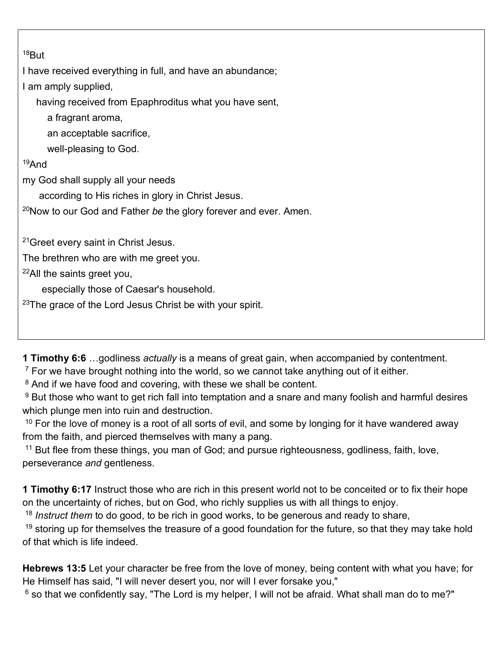## $18$ But

I have received everything in full, and have an abundance;

I am amply supplied,

having received from Epaphroditus what you have sent,

a fragrant aroma,

an acceptable sacrifice,

well-pleasing to God.

## <sup>19</sup>And

my God shall supply all your needs

according to His riches in glory in Christ Jesus.

<sup>20</sup>Now to our God and Father *be* the glory forever and ever. Amen.

<sup>21</sup> Greet every saint in Christ Jesus.

The brethren who are with me greet you.

<sup>22</sup>All the saints greet you,

especially those of Caesar's household.

 $23$ The grace of the Lord Jesus Christ be with your spirit.

**1 Timothy 6:6** …godliness *actually* is a means of great gain, when accompanied by contentment.

 $7$  For we have brought nothing into the world, so we cannot take anything out of it either.

<sup>8</sup> And if we have food and covering, with these we shall be content.

 $9$  But those who want to get rich fall into temptation and a snare and many foolish and harmful desires which plunge men into ruin and destruction.

 $10$  For the love of money is a root of all sorts of evil, and some by longing for it have wandered away from the faith, and pierced themselves with many a pang.

<sup>11</sup> But flee from these things, you man of God; and pursue righteousness, godliness, faith, love, perseverance *and* gentleness.

**1 Timothy 6:17** Instruct those who are rich in this present world not to be conceited or to fix their hope on the uncertainty of riches, but on God, who richly supplies us with all things to enjoy.

<sup>18</sup> *Instruct them* to do good, to be rich in good works, to be generous and ready to share,

 $19$  storing up for themselves the treasure of a good foundation for the future, so that they may take hold of that which is life indeed.

**Hebrews 13:5** Let your character be free from the love of money, being content with what you have; for He Himself has said, "I will never desert you, nor will I ever forsake you,"

 $^6$  so that we confidently say, "The Lord is my helper, I will not be afraid. What shall man do to me?"